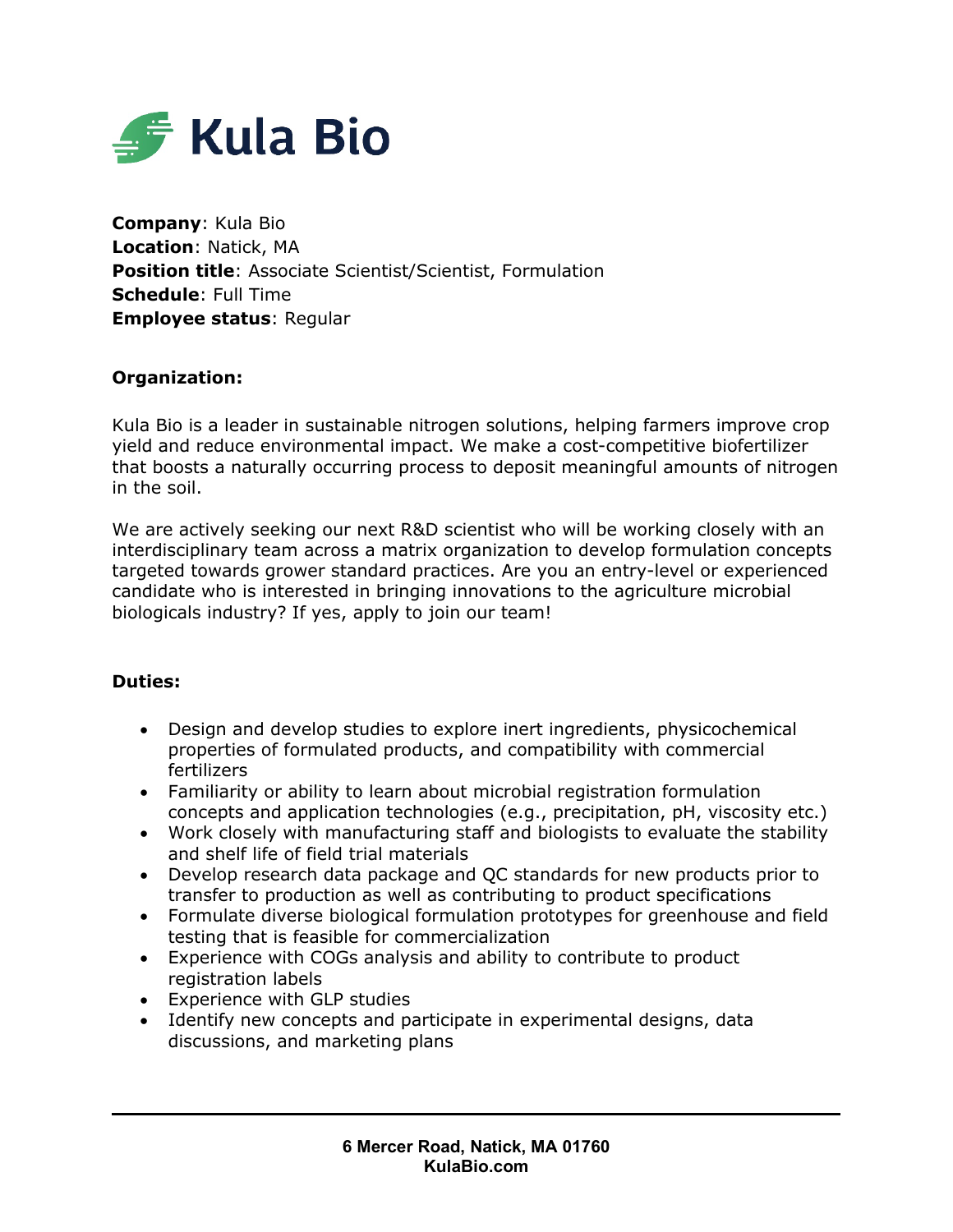

**Company**: Kula Bio **Location**: Natick, MA **Position title**: Associate Scientist/Scientist, Formulation **Schedule**: Full Time **Employee status**: Regular

## **Organization:**

Kula Bio is a leader in sustainable nitrogen solutions, helping farmers improve crop yield and reduce environmental impact. We make a cost-competitive biofertilizer that boosts a naturally occurring process to deposit meaningful amounts of nitrogen in the soil.

We are actively seeking our next R&D scientist who will be working closely with an interdisciplinary team across a matrix organization to develop formulation concepts targeted towards grower standard practices. Are you an entry-level or experienced candidate who is interested in bringing innovations to the agriculture microbial biologicals industry? If yes, apply to join our team!

## **Duties:**

- Design and develop studies to explore inert ingredients, physicochemical properties of formulated products, and compatibility with commercial fertilizers
- Familiarity or ability to learn about microbial registration formulation concepts and application technologies (e.g., precipitation, pH, viscosity etc.)
- Work closely with manufacturing staff and biologists to evaluate the stability and shelf life of field trial materials
- Develop research data package and QC standards for new products prior to transfer to production as well as contributing to product specifications
- Formulate diverse biological formulation prototypes for greenhouse and field testing that is feasible for commercialization
- Experience with COGs analysis and ability to contribute to product registration labels
- Experience with GLP studies
- Identify new concepts and participate in experimental designs, data discussions, and marketing plans